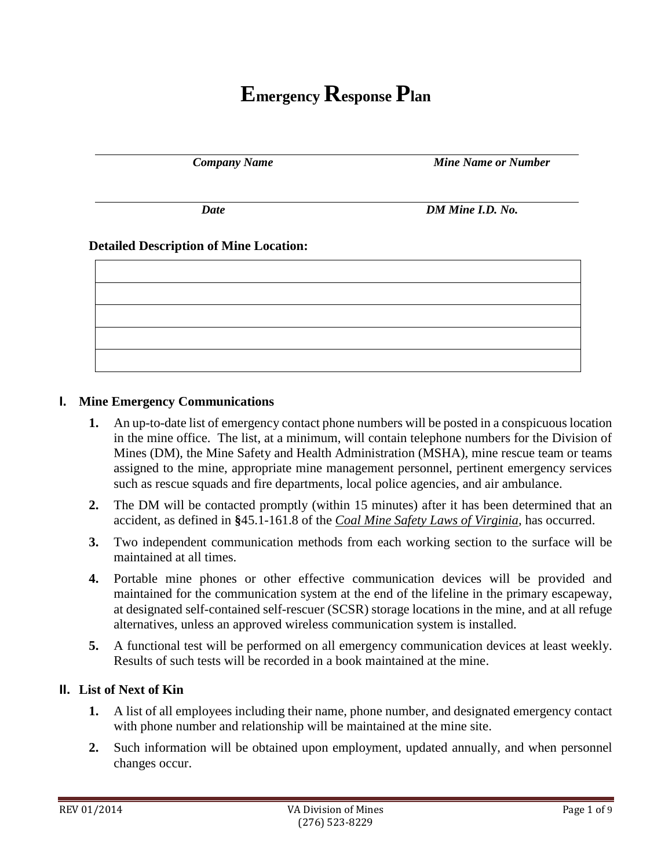# **Emergency Response Plan**

*Company Name Mine Name or Number*

*Date DM Mine I.D. No.*

#### **Detailed Description of Mine Location:**

#### **I. Mine Emergency Communications**

- **1.** An up-to-date list of emergency contact phone numbers will be posted in a conspicuous location in the mine office. The list, at a minimum, will contain telephone numbers for the Division of Mines (DM), the Mine Safety and Health Administration (MSHA), mine rescue team or teams assigned to the mine, appropriate mine management personnel, pertinent emergency services such as rescue squads and fire departments, local police agencies, and air ambulance.
- **2.** The DM will be contacted promptly (within 15 minutes) after it has been determined that an accident, as defined in **§**45.1-161.8 of the *Coal Mine Safety Laws of Virginia*, has occurred.
- **3.** Two independent communication methods from each working section to the surface will be maintained at all times.
- **4.** Portable mine phones or other effective communication devices will be provided and maintained for the communication system at the end of the lifeline in the primary escapeway, at designated self-contained self-rescuer (SCSR) storage locations in the mine, and at all refuge alternatives, unless an approved wireless communication system is installed.
- **5.** A functional test will be performed on all emergency communication devices at least weekly. Results of such tests will be recorded in a book maintained at the mine.

#### **II. List of Next of Kin**

- **1.** A list of all employees including their name, phone number, and designated emergency contact with phone number and relationship will be maintained at the mine site.
- **2.** Such information will be obtained upon employment, updated annually, and when personnel changes occur.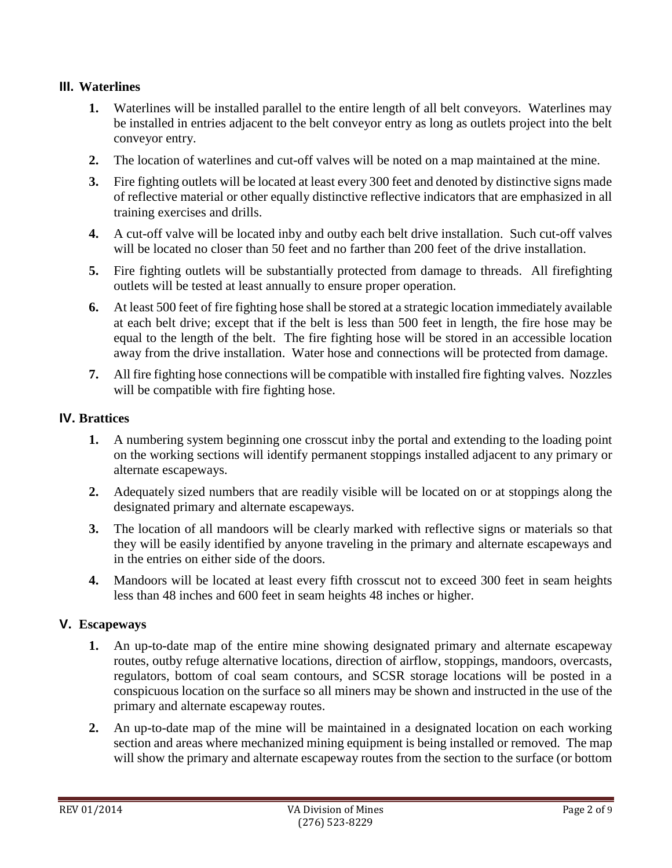## **III. Waterlines**

- **1.** Waterlines will be installed parallel to the entire length of all belt conveyors. Waterlines may be installed in entries adjacent to the belt conveyor entry as long as outlets project into the belt conveyor entry.
- **2.** The location of waterlines and cut-off valves will be noted on a map maintained at the mine.
- **3.** Fire fighting outlets will be located at least every 300 feet and denoted by distinctive signs made of reflective material or other equally distinctive reflective indicators that are emphasized in all training exercises and drills.
- **4.** A cut-off valve will be located inby and outby each belt drive installation. Such cut-off valves will be located no closer than 50 feet and no farther than 200 feet of the drive installation.
- **5.** Fire fighting outlets will be substantially protected from damage to threads. All firefighting outlets will be tested at least annually to ensure proper operation.
- **6.** At least 500 feet of fire fighting hose shall be stored at a strategic location immediately available at each belt drive; except that if the belt is less than 500 feet in length, the fire hose may be equal to the length of the belt. The fire fighting hose will be stored in an accessible location away from the drive installation. Water hose and connections will be protected from damage.
- **7.** All fire fighting hose connections will be compatible with installed fire fighting valves. Nozzles will be compatible with fire fighting hose.

## **IV. Brattices**

- **1.** A numbering system beginning one crosscut inby the portal and extending to the loading point on the working sections will identify permanent stoppings installed adjacent to any primary or alternate escapeways.
- **2.** Adequately sized numbers that are readily visible will be located on or at stoppings along the designated primary and alternate escapeways.
- **3.** The location of all mandoors will be clearly marked with reflective signs or materials so that they will be easily identified by anyone traveling in the primary and alternate escapeways and in the entries on either side of the doors.
- **4.** Mandoors will be located at least every fifth crosscut not to exceed 300 feet in seam heights less than 48 inches and 600 feet in seam heights 48 inches or higher.

## **V. Escapeways**

- **1.** An up-to-date map of the entire mine showing designated primary and alternate escapeway routes, outby refuge alternative locations, direction of airflow, stoppings, mandoors, overcasts, regulators, bottom of coal seam contours, and SCSR storage locations will be posted in a conspicuous location on the surface so all miners may be shown and instructed in the use of the primary and alternate escapeway routes.
- **2.** An up-to-date map of the mine will be maintained in a designated location on each working section and areas where mechanized mining equipment is being installed or removed. The map will show the primary and alternate escapeway routes from the section to the surface (or bottom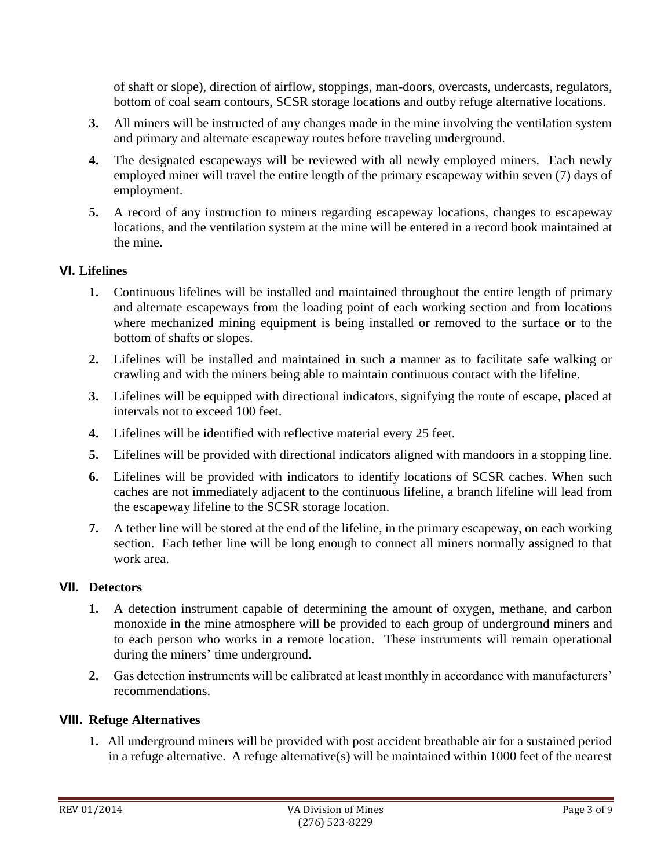of shaft or slope), direction of airflow, stoppings, man-doors, overcasts, undercasts, regulators, bottom of coal seam contours, SCSR storage locations and outby refuge alternative locations.

- **3.** All miners will be instructed of any changes made in the mine involving the ventilation system and primary and alternate escapeway routes before traveling underground.
- **4.** The designated escapeways will be reviewed with all newly employed miners. Each newly employed miner will travel the entire length of the primary escapeway within seven (7) days of employment.
- **5.** A record of any instruction to miners regarding escapeway locations, changes to escapeway locations, and the ventilation system at the mine will be entered in a record book maintained at the mine.

## **VI. Lifelines**

- **1.** Continuous lifelines will be installed and maintained throughout the entire length of primary and alternate escapeways from the loading point of each working section and from locations where mechanized mining equipment is being installed or removed to the surface or to the bottom of shafts or slopes.
- **2.** Lifelines will be installed and maintained in such a manner as to facilitate safe walking or crawling and with the miners being able to maintain continuous contact with the lifeline.
- **3.** Lifelines will be equipped with directional indicators, signifying the route of escape, placed at intervals not to exceed 100 feet.
- **4.** Lifelines will be identified with reflective material every 25 feet.
- **5.** Lifelines will be provided with directional indicators aligned with mandoors in a stopping line.
- **6.** Lifelines will be provided with indicators to identify locations of SCSR caches. When such caches are not immediately adjacent to the continuous lifeline, a branch lifeline will lead from the escapeway lifeline to the SCSR storage location.
- **7.** A tether line will be stored at the end of the lifeline, in the primary escapeway, on each working section. Each tether line will be long enough to connect all miners normally assigned to that work area.

## **VII. Detectors**

- **1.** A detection instrument capable of determining the amount of oxygen, methane, and carbon monoxide in the mine atmosphere will be provided to each group of underground miners and to each person who works in a remote location. These instruments will remain operational during the miners' time underground.
- **2.** Gas detection instruments will be calibrated at least monthly in accordance with manufacturers' recommendations.

## **VIII. Refuge Alternatives**

**1.** All underground miners will be provided with post accident breathable air for a sustained period in a refuge alternative. A refuge alternative(s) will be maintained within 1000 feet of the nearest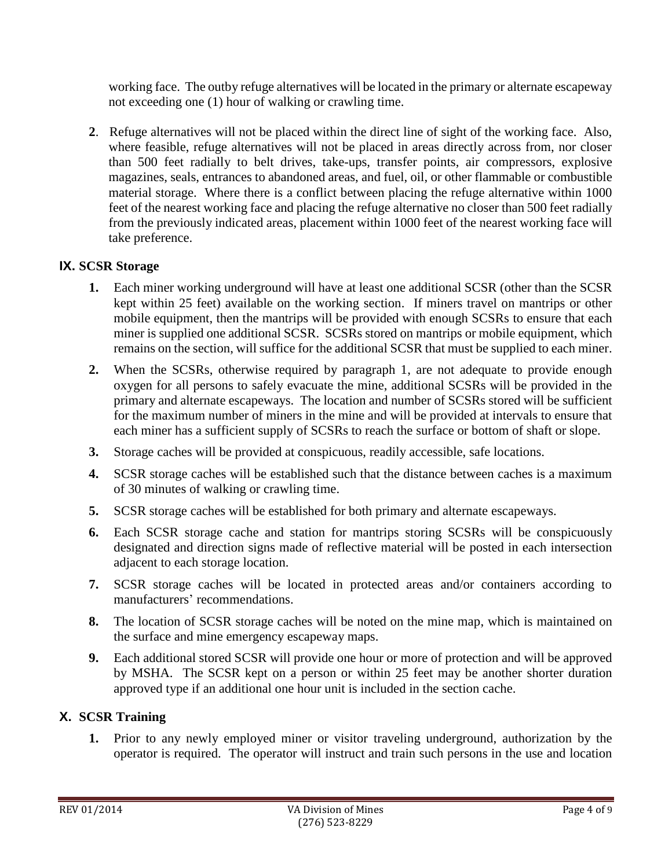working face. The outby refuge alternatives will be located in the primary or alternate escapeway not exceeding one (1) hour of walking or crawling time.

**2**. Refuge alternatives will not be placed within the direct line of sight of the working face. Also, where feasible, refuge alternatives will not be placed in areas directly across from, nor closer than 500 feet radially to belt drives, take-ups, transfer points, air compressors, explosive magazines, seals, entrances to abandoned areas, and fuel, oil, or other flammable or combustible material storage. Where there is a conflict between placing the refuge alternative within 1000 feet of the nearest working face and placing the refuge alternative no closer than 500 feet radially from the previously indicated areas, placement within 1000 feet of the nearest working face will take preference.

# **IX. SCSR Storage**

- **1.** Each miner working underground will have at least one additional SCSR (other than the SCSR kept within 25 feet) available on the working section. If miners travel on mantrips or other mobile equipment, then the mantrips will be provided with enough SCSRs to ensure that each miner is supplied one additional SCSR. SCSRs stored on mantrips or mobile equipment, which remains on the section, will suffice for the additional SCSR that must be supplied to each miner.
- **2.** When the SCSRs, otherwise required by paragraph 1, are not adequate to provide enough oxygen for all persons to safely evacuate the mine, additional SCSRs will be provided in the primary and alternate escapeways. The location and number of SCSRs stored will be sufficient for the maximum number of miners in the mine and will be provided at intervals to ensure that each miner has a sufficient supply of SCSRs to reach the surface or bottom of shaft or slope.
- **3.** Storage caches will be provided at conspicuous, readily accessible, safe locations.
- **4.** SCSR storage caches will be established such that the distance between caches is a maximum of 30 minutes of walking or crawling time.
- **5.** SCSR storage caches will be established for both primary and alternate escapeways.
- **6.** Each SCSR storage cache and station for mantrips storing SCSRs will be conspicuously designated and direction signs made of reflective material will be posted in each intersection adjacent to each storage location.
- **7.** SCSR storage caches will be located in protected areas and/or containers according to manufacturers' recommendations.
- **8.** The location of SCSR storage caches will be noted on the mine map, which is maintained on the surface and mine emergency escapeway maps.
- **9.** Each additional stored SCSR will provide one hour or more of protection and will be approved by MSHA. The SCSR kept on a person or within 25 feet may be another shorter duration approved type if an additional one hour unit is included in the section cache.

# **X. SCSR Training**

**1.** Prior to any newly employed miner or visitor traveling underground, authorization by the operator is required. The operator will instruct and train such persons in the use and location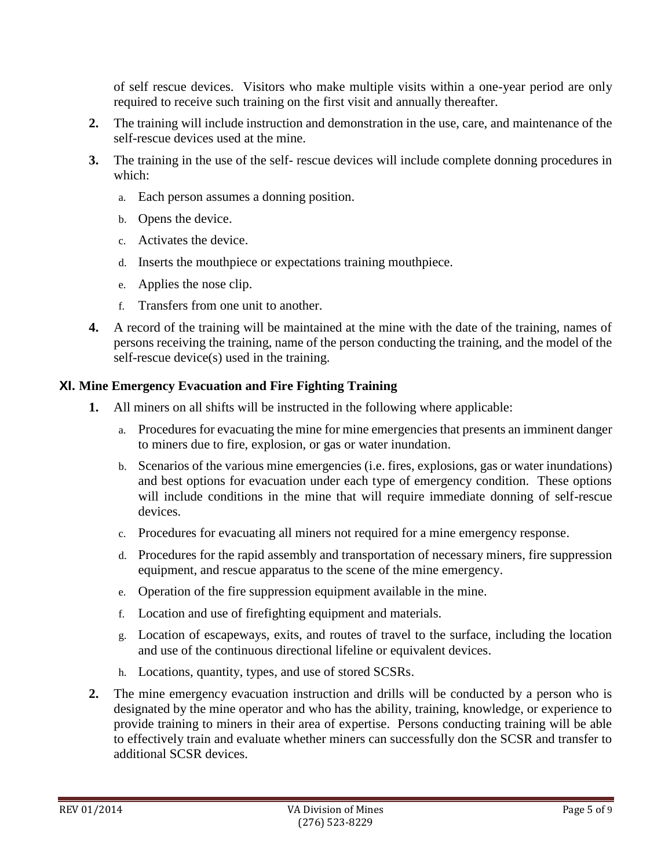of self rescue devices. Visitors who make multiple visits within a one-year period are only required to receive such training on the first visit and annually thereafter.

- **2.** The training will include instruction and demonstration in the use, care, and maintenance of the self-rescue devices used at the mine.
- **3.** The training in the use of the self-rescue devices will include complete donning procedures in which:
	- a. Each person assumes a donning position.
	- b. Opens the device.
	- c. Activates the device.
	- d. Inserts the mouthpiece or expectations training mouthpiece.
	- e. Applies the nose clip.
	- f. Transfers from one unit to another.
- **4.** A record of the training will be maintained at the mine with the date of the training, names of persons receiving the training, name of the person conducting the training, and the model of the self-rescue device(s) used in the training.

#### **XI. Mine Emergency Evacuation and Fire Fighting Training**

- **1.** All miners on all shifts will be instructed in the following where applicable:
	- a. Procedures for evacuating the mine for mine emergencies that presents an imminent danger to miners due to fire, explosion, or gas or water inundation.
	- b. Scenarios of the various mine emergencies (i.e. fires, explosions, gas or water inundations) and best options for evacuation under each type of emergency condition. These options will include conditions in the mine that will require immediate donning of self-rescue devices.
	- c. Procedures for evacuating all miners not required for a mine emergency response.
	- d. Procedures for the rapid assembly and transportation of necessary miners, fire suppression equipment, and rescue apparatus to the scene of the mine emergency.
	- e. Operation of the fire suppression equipment available in the mine.
	- f. Location and use of firefighting equipment and materials.
	- g. Location of escapeways, exits, and routes of travel to the surface, including the location and use of the continuous directional lifeline or equivalent devices.
	- h. Locations, quantity, types, and use of stored SCSRs.
- **2.** The mine emergency evacuation instruction and drills will be conducted by a person who is designated by the mine operator and who has the ability, training, knowledge, or experience to provide training to miners in their area of expertise. Persons conducting training will be able to effectively train and evaluate whether miners can successfully don the SCSR and transfer to additional SCSR devices.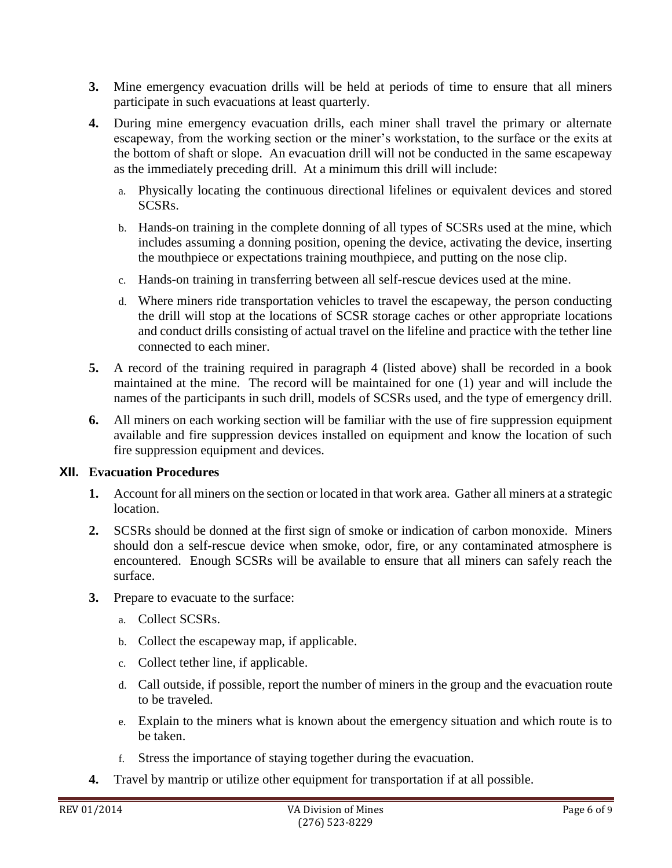- **3.** Mine emergency evacuation drills will be held at periods of time to ensure that all miners participate in such evacuations at least quarterly.
- **4.** During mine emergency evacuation drills, each miner shall travel the primary or alternate escapeway, from the working section or the miner's workstation, to the surface or the exits at the bottom of shaft or slope. An evacuation drill will not be conducted in the same escapeway as the immediately preceding drill. At a minimum this drill will include:
	- a. Physically locating the continuous directional lifelines or equivalent devices and stored SCSRs.
	- b. Hands-on training in the complete donning of all types of SCSRs used at the mine, which includes assuming a donning position, opening the device, activating the device, inserting the mouthpiece or expectations training mouthpiece, and putting on the nose clip.
	- c. Hands-on training in transferring between all self-rescue devices used at the mine.
	- d. Where miners ride transportation vehicles to travel the escapeway, the person conducting the drill will stop at the locations of SCSR storage caches or other appropriate locations and conduct drills consisting of actual travel on the lifeline and practice with the tether line connected to each miner.
- **5.** A record of the training required in paragraph 4 (listed above) shall be recorded in a book maintained at the mine. The record will be maintained for one (1) year and will include the names of the participants in such drill, models of SCSRs used, and the type of emergency drill.
- **6.** All miners on each working section will be familiar with the use of fire suppression equipment available and fire suppression devices installed on equipment and know the location of such fire suppression equipment and devices.

## **XII. Evacuation Procedures**

- **1.** Account for all miners on the section or located in that work area. Gather all miners at a strategic location.
- **2.** SCSRs should be donned at the first sign of smoke or indication of carbon monoxide. Miners should don a self-rescue device when smoke, odor, fire, or any contaminated atmosphere is encountered. Enough SCSRs will be available to ensure that all miners can safely reach the surface.
- **3.** Prepare to evacuate to the surface:
	- a. Collect SCSRs.
	- b. Collect the escapeway map, if applicable.
	- c. Collect tether line, if applicable.
	- d. Call outside, if possible, report the number of miners in the group and the evacuation route to be traveled.
	- e. Explain to the miners what is known about the emergency situation and which route is to be taken.
	- f. Stress the importance of staying together during the evacuation.
- **4.** Travel by mantrip or utilize other equipment for transportation if at all possible.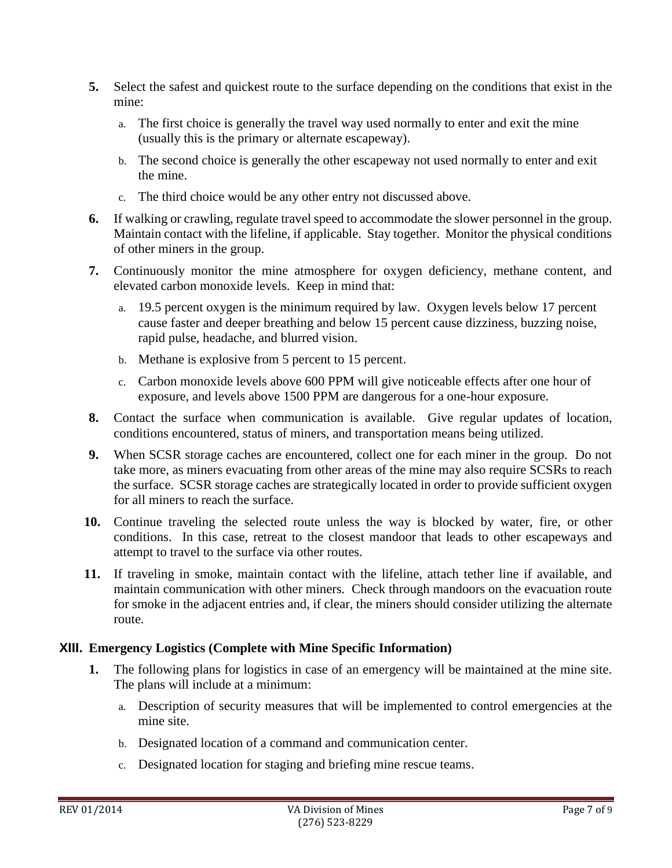- **5.** Select the safest and quickest route to the surface depending on the conditions that exist in the mine:
	- a. The first choice is generally the travel way used normally to enter and exit the mine (usually this is the primary or alternate escapeway).
	- b. The second choice is generally the other escapeway not used normally to enter and exit the mine.
	- c. The third choice would be any other entry not discussed above.
- **6.** If walking or crawling, regulate travel speed to accommodate the slower personnel in the group. Maintain contact with the lifeline, if applicable. Stay together. Monitor the physical conditions of other miners in the group.
- **7.** Continuously monitor the mine atmosphere for oxygen deficiency, methane content, and elevated carbon monoxide levels. Keep in mind that:
	- a. 19.5 percent oxygen is the minimum required by law. Oxygen levels below 17 percent cause faster and deeper breathing and below 15 percent cause dizziness, buzzing noise, rapid pulse, headache, and blurred vision.
	- b. Methane is explosive from 5 percent to 15 percent.
	- c. Carbon monoxide levels above 600 PPM will give noticeable effects after one hour of exposure, and levels above 1500 PPM are dangerous for a one-hour exposure.
- **8.** Contact the surface when communication is available. Give regular updates of location, conditions encountered, status of miners, and transportation means being utilized.
- **9.** When SCSR storage caches are encountered, collect one for each miner in the group. Do not take more, as miners evacuating from other areas of the mine may also require SCSRs to reach the surface. SCSR storage caches are strategically located in order to provide sufficient oxygen for all miners to reach the surface.
- **10.** Continue traveling the selected route unless the way is blocked by water, fire, or other conditions. In this case, retreat to the closest mandoor that leads to other escapeways and attempt to travel to the surface via other routes.
- **11.** If traveling in smoke, maintain contact with the lifeline, attach tether line if available, and maintain communication with other miners. Check through mandoors on the evacuation route for smoke in the adjacent entries and, if clear, the miners should consider utilizing the alternate route.

# **XIII. Emergency Logistics (Complete with Mine Specific Information)**

- **1.** The following plans for logistics in case of an emergency will be maintained at the mine site. The plans will include at a minimum:
	- a. Description of security measures that will be implemented to control emergencies at the mine site.
	- b. Designated location of a command and communication center.
	- c. Designated location for staging and briefing mine rescue teams.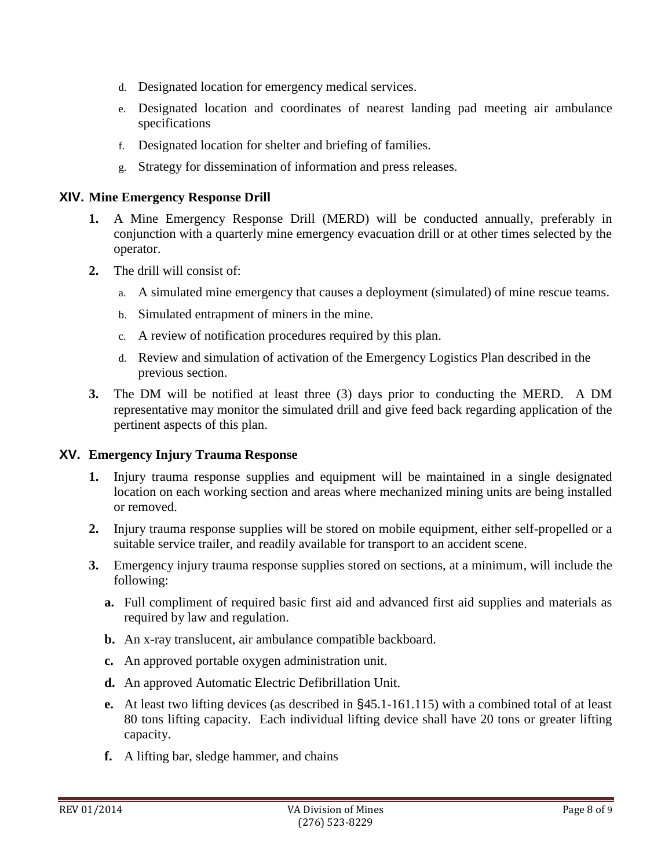- d. Designated location for emergency medical services.
- e. Designated location and coordinates of nearest landing pad meeting air ambulance specifications
- f. Designated location for shelter and briefing of families.
- g. Strategy for dissemination of information and press releases.

#### **XIV. Mine Emergency Response Drill**

- **1.** A Mine Emergency Response Drill (MERD) will be conducted annually, preferably in conjunction with a quarterly mine emergency evacuation drill or at other times selected by the operator.
- **2.** The drill will consist of:
	- a. A simulated mine emergency that causes a deployment (simulated) of mine rescue teams.
	- b. Simulated entrapment of miners in the mine.
	- c. A review of notification procedures required by this plan.
	- d. Review and simulation of activation of the Emergency Logistics Plan described in the previous section.
- **3.** The DM will be notified at least three (3) days prior to conducting the MERD. A DM representative may monitor the simulated drill and give feed back regarding application of the pertinent aspects of this plan.

#### **XV. Emergency Injury Trauma Response**

- **1.** Injury trauma response supplies and equipment will be maintained in a single designated location on each working section and areas where mechanized mining units are being installed or removed.
- **2.** Injury trauma response supplies will be stored on mobile equipment, either self-propelled or a suitable service trailer, and readily available for transport to an accident scene.
- **3.** Emergency injury trauma response supplies stored on sections, at a minimum, will include the following:
	- **a.** Full compliment of required basic first aid and advanced first aid supplies and materials as required by law and regulation.
	- **b.** An x-ray translucent, air ambulance compatible backboard.
	- **c.** An approved portable oxygen administration unit.
	- **d.** An approved Automatic Electric Defibrillation Unit.
	- **e.** At least two lifting devices (as described in §45.1-161.115) with a combined total of at least 80 tons lifting capacity. Each individual lifting device shall have 20 tons or greater lifting capacity.
	- **f.** A lifting bar, sledge hammer, and chains